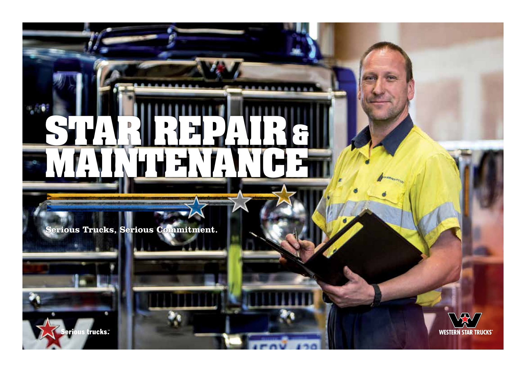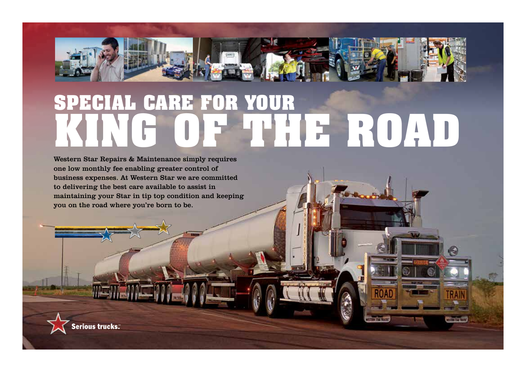

# **KING OF THE ROAD SPECIAL CARE FOR YOUR**

**15 SAN RICCO** 

Western Star Repairs & Maintenance simply requires one low monthly fee enabling greater control of business expenses. At Western Star we are committed to delivering the best care available to assist in maintaining your Star in tip top condition and keeping you on the road where you're born to be.

Serious trucks.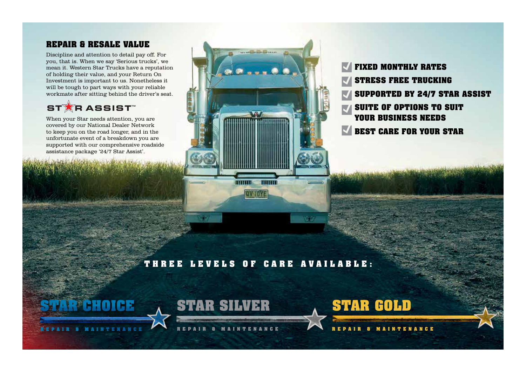## **REPAIR & RESALE VALUE**

Discipline and attention to detail pay off. For you, that is. When we say 'Serious trucks', we mean it. Western Star Trucks have a reputation of holding their value, and your Return On Investment is important to us. Nonetheless it will be tough to part ways with your reliable workmate after sitting behind the driver's seat.

## **STARASSIST**

When your Star needs attention, you are covered by our National Dealer Network to keep you on the road longer, and in the unfortunate event of a breakdown you are supported with our comprehensive roadside assistance package '24/7 Star Assist'.



**FIXED MONTHLY RATES STRESS FREE TRUCKING SUPPORTED BY 24/7 STAR ASSIST SUITE OF OPTIONS TO SUIT YOUR BUSINESS NEEDS BEST CARE FOR YOUR STAR**

## **THREE LEVELS OF CARE AVAILABLE:**

wo

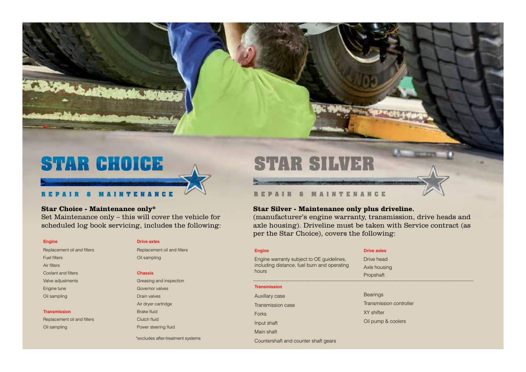

## **Star Choice - Maintenance only\***

Set Maintenance only – this will cover the vehicle for scheduled log book servicing, includes the following:

Replacement oil and filters Replacement oil and filters Fuel filters **Community** Coll sampling Air filters Coolant and filters **Chassis** Engine tune Governor valves Oil sampling Drain valves

Replacement oil and filters Clutch fluid Oil sampling **Power steering fluid Power steering fluid** 

#### **Engine** Drive axles

Valve adjustments **Valve adjustments Greasing and inspection** Air dryer cartridge **Transmission** Brake fluid

\*excludes after-treatment systems

# **STAR SILVER**

### **R E P A I R & M A I N T E N A N C E**

#### **Star Silver - Maintenance only plus driveline.**

(manufacturer's engine warranty, transmission, drive heads and axle housing). Driveline must be taken with Service contract (as per the Star Choice), covers the following:

| <b>Engine</b>                                                                                     | <b>Drive axles</b>      |
|---------------------------------------------------------------------------------------------------|-------------------------|
| Engine warranty subject to OE guidelines.<br>including distance, fuel burn and operating<br>hours | Drive head              |
|                                                                                                   | Axle housing            |
|                                                                                                   | Propshaft               |
| <b>Transmission</b>                                                                               |                         |
| Auxillary case                                                                                    | <b>Bearings</b>         |
| Transmission case                                                                                 | Transmission controller |
| Forks                                                                                             | XY shifter              |
| Input shaft                                                                                       | Oil pump & coolers      |
| Main shaft                                                                                        |                         |
| Countershaft and counter shaft gears                                                              |                         |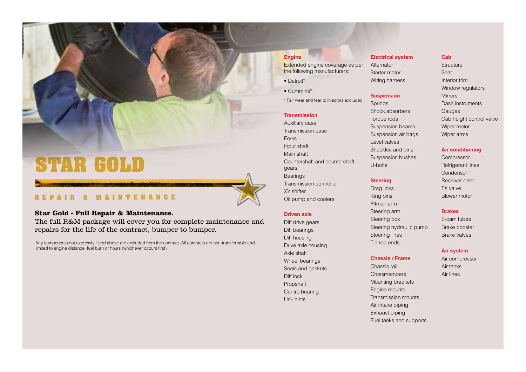## **STAR GOLD**

## REPAIR & MAINTENANCE

#### **Star Gold - Full Repair & Maintenance.**

The full R&M package will cover you for complete maintenance and repairs for the life of the contract, bumper to bumper.

Any components not expressly listed above are excluded from the contract. All contracts are non-transferrable and limited to engine distance, fuel burn or hours (whichever occurs first).

#### **Engine**

Extended engine coverage as per the following manufacturers:

- Detroit\*
- Cummins\*
- \* Fair wear and tear to injectors excluded

#### **Transmission**

Auxiliary case Transmission case **Forks** Input shaft Main shaft Countershaft and countershaft gears **Bearings** Transmission controller XY shifter Oil pump and coolers

#### **Driven axle**

Diff drive gears Diff bearings Diff housing Drive axle housing Axle shaft Wheel bearings Seals and gaskets Diff lock Propshaft Centre bearing Uni-joints

### **Electrical system Cab**

Starter motor Seat Wiring harness **Interior trim** 

#### **Suspension** Mirrors

Shock absorbers Gauges Suspension beams Wiper motor Suspension air bags Wiper arms Level valves Shackles and pins **Air conditioning** Suspension bushes Compressor U-bolts Refrigerant lines

Drag links TX valve King pins Blower motor Pitman arm Steering arm **Brakes** Steering box S-cam tubes Steering hydraulic pump Brake booster Steering lines Brake valves Tie rod ends

#### **Chassis / Frame** Air compressor

Chassis rail **Air tanks** Crossmembers Air lines Mounting brackets Engine mounts Transmission mounts Air intake piping Exhaust piping Fuel tanks and supports

Alternator Structure Window regulators Springs Dash instruments Torque rods Cab height control valve

Condensor **Steering** Receiver drier

#### **Air system**